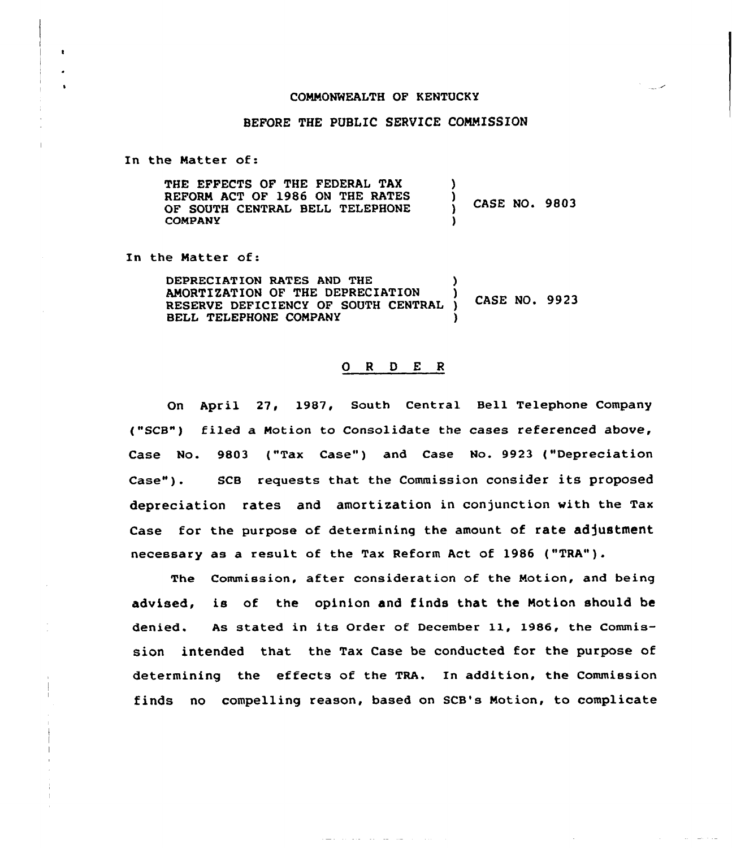## COMMONWEALTH OF KENTUCKY

## BEFORE THE PUBLIC SERVICE COMMISSION

In the Natter of:

 $\bullet$ 

THE EFFECTS OF THE FEDERAL TAX REFORM ACT OF 1986 ON THE RATES OF SOUTH CENTRAL BELL TELEPHONE COMPANY ) ) CASE NO. 9803 )

In the Natter of:

| DEPRECIATION RATES AND THE          |               |  |
|-------------------------------------|---------------|--|
| AMORTIZATION OF THE DEPRECIATION    | CASE NO. 9923 |  |
| RESERVE DEFICIENCY OF SOUTH CENTRAL |               |  |
| BELL TELEPHONE COMPANY              |               |  |

## 0 <sup>R</sup> <sup>D</sup> E <sup>R</sup>

On April 27, 1987, South Central Bell Telephone Company ("SCB") filed a Notion to Consolidate the cases referenced above, Case No. 9803 ("Tax Case") and Case No. 9923 ("Depreciation Case" ). SCB requests that the Commission consider its proposed depreciation rates and amortization in conjunction with the Tax Case for the purpose of determining the amount of rate adjustment necessary as a result of the Tax Reform Act of 1986 ("TRA").

The Commission, after consideration of the Notion, and being advised, is of the opinion and finds that the Motion should be denied. As stated in its Order of December ll, 1986, the Commission intended that the Tax Case be conducted for the purpose of determining the effects of the TRA. In addition, the Commission finds no compelling reason, based on SCB's Notion, to complicate

 $\mathcal{A}(\mathcal{A})$  , and  $\mathcal{A}(\mathcal{A})$ 

and the state of